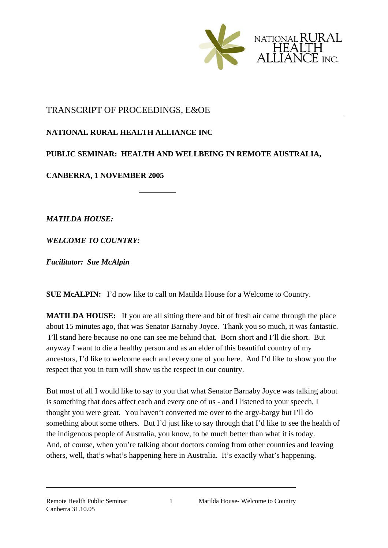

## TRANSCRIPT OF PROCEEDINGS, E&OE

## **NATIONAL RURAL HEALTH ALLIANCE INC**

## **PUBLIC SEMINAR: HEALTH AND WELLBEING IN REMOTE AUSTRALIA,**

**CANBERRA, 1 NOVEMBER 2005** 

*MATILDA HOUSE:* 

*WELCOME TO COUNTRY:* 

*Facilitator: Sue McAlpin*

**SUE McALPIN:** I'd now like to call on Matilda House for a Welcome to Country.

**MATILDA HOUSE:** If you are all sitting there and bit of fresh air came through the place about 15 minutes ago, that was Senator Barnaby Joyce. Thank you so much, it was fantastic. I'll stand here because no one can see me behind that. Born short and I'll die short. But anyway I want to die a healthy person and as an elder of this beautiful country of my ancestors, I'd like to welcome each and every one of you here. And I'd like to show you the respect that you in turn will show us the respect in our country.

But most of all I would like to say to you that what Senator Barnaby Joyce was talking about is something that does affect each and every one of us - and I listened to your speech, I thought you were great. You haven't converted me over to the argy-bargy but I'll do something about some others. But I'd just like to say through that I'd like to see the health of the indigenous people of Australia, you know, to be much better than what it is today. And, of course, when you're talking about doctors coming from other countries and leaving others, well, that's what's happening here in Australia. It's exactly what's happening.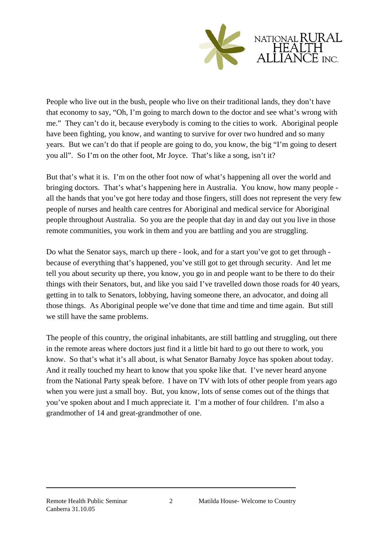

People who live out in the bush, people who live on their traditional lands, they don't have that economy to say, "Oh, I'm going to march down to the doctor and see what's wrong with me." They can't do it, because everybody is coming to the cities to work. Aboriginal people have been fighting, you know, and wanting to survive for over two hundred and so many years. But we can't do that if people are going to do, you know, the big "I'm going to desert you all". So I'm on the other foot, Mr Joyce. That's like a song, isn't it?

But that's what it is. I'm on the other foot now of what's happening all over the world and bringing doctors. That's what's happening here in Australia. You know, how many people all the hands that you've got here today and those fingers, still does not represent the very few people of nurses and health care centres for Aboriginal and medical service for Aboriginal people throughout Australia. So you are the people that day in and day out you live in those remote communities, you work in them and you are battling and you are struggling.

Do what the Senator says, march up there - look, and for a start you've got to get through because of everything that's happened, you've still got to get through security. And let me tell you about security up there, you know, you go in and people want to be there to do their things with their Senators, but, and like you said I've travelled down those roads for 40 years, getting in to talk to Senators, lobbying, having someone there, an advocator, and doing all those things. As Aboriginal people we've done that time and time and time again. But still we still have the same problems.

The people of this country, the original inhabitants, are still battling and struggling, out there in the remote areas where doctors just find it a little bit hard to go out there to work, you know. So that's what it's all about, is what Senator Barnaby Joyce has spoken about today. And it really touched my heart to know that you spoke like that. I've never heard anyone from the National Party speak before. I have on TV with lots of other people from years ago when you were just a small boy. But, you know, lots of sense comes out of the things that you've spoken about and I much appreciate it. I'm a mother of four children. I'm also a grandmother of 14 and great-grandmother of one.